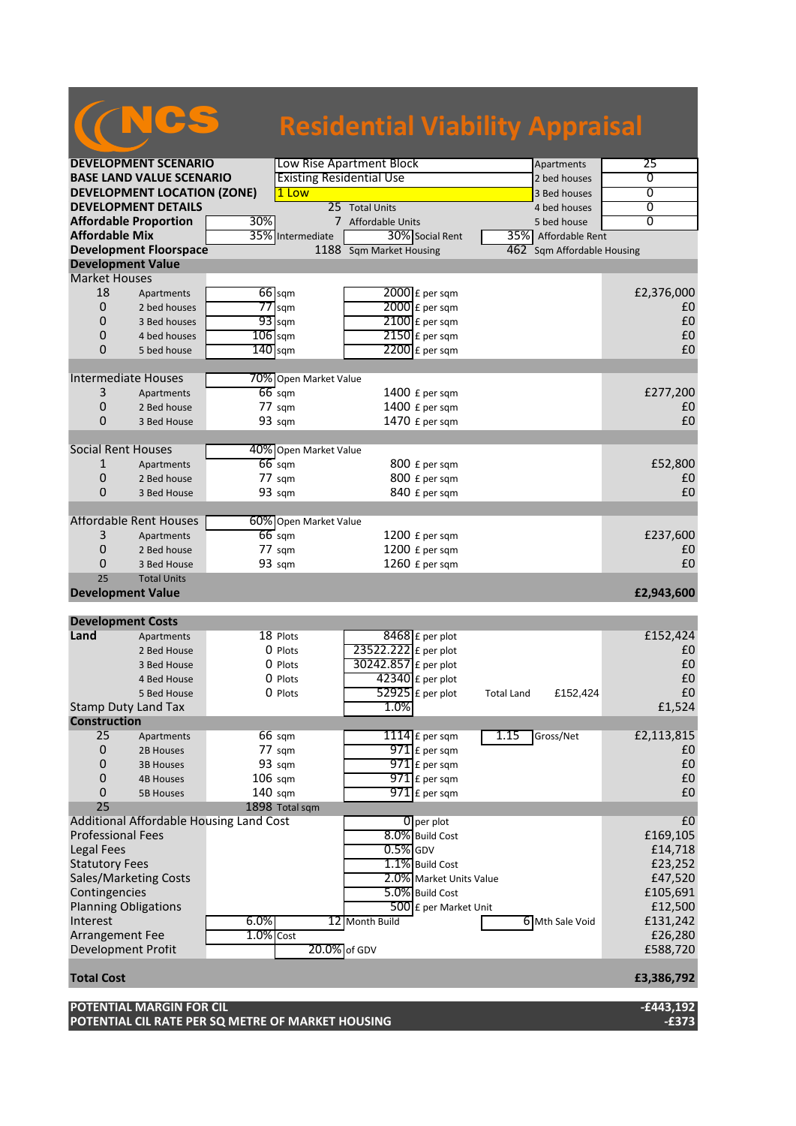## NCS

#### **Residential Viability Appraisal**

| <b>DEVELOPMENT SCENARIO</b>             |                                         | Low Rise Apartment Block        |                       |                         |                         | Apartments        | 25                         |                |
|-----------------------------------------|-----------------------------------------|---------------------------------|-----------------------|-------------------------|-------------------------|-------------------|----------------------------|----------------|
| <b>BASE LAND VALUE SCENARIO</b>         |                                         | <b>Existing Residential Use</b> |                       |                         |                         | 2 bed houses      | 0                          |                |
|                                         | <b>DEVELOPMENT LOCATION (ZONE)</b>      |                                 | 1 Low                 |                         |                         |                   | 3 Bed houses               | $\overline{0}$ |
|                                         | <b>DEVELOPMENT DETAILS</b>              |                                 |                       | 25 Total Units          |                         |                   | 4 bed houses               | $\overline{0}$ |
|                                         | <b>Affordable Proportion</b>            | 30%                             |                       | 7 Affordable Units      |                         |                   | 5 bed house                | 0              |
| <b>Affordable Mix</b>                   |                                         |                                 | 35% Intermediate      | 30% Social Rent         |                         | 35%               | Affordable Rent            |                |
|                                         | <b>Development Floorspace</b>           |                                 |                       | 1188 Sqm Market Housing |                         |                   | 462 Sqm Affordable Housing |                |
| <b>Development Value</b>                |                                         |                                 |                       |                         |                         |                   |                            |                |
| <b>Market Houses</b>                    |                                         |                                 |                       |                         |                         |                   |                            |                |
| 18                                      | Apartments                              |                                 | 66 sqm                | 2000 £ per sqm          |                         |                   |                            | £2,376,000     |
| 0                                       | 2 bed houses                            |                                 | $77$ sqm              | $2000$ £ per sqm        |                         |                   |                            | £0             |
| 0                                       | 3 Bed houses                            |                                 | $93$ sqm              | 2100 £ per sqm          |                         |                   |                            | £0             |
| 0                                       | 4 bed houses                            | $106$ sqm                       |                       | $2150$ £ per sqm        |                         |                   |                            | £0             |
| 0                                       | 5 bed house                             | $140$ sqm                       |                       | $2200$ £ per sqm        |                         |                   |                            | £0             |
|                                         |                                         |                                 |                       |                         |                         |                   |                            |                |
| Intermediate Houses                     |                                         |                                 | 70% Open Market Value |                         |                         |                   |                            |                |
| 3                                       | Apartments                              |                                 | $66$ sqm              | 1400 £ per sqm          |                         |                   |                            | £277,200       |
| 0                                       | 2 Bed house                             |                                 | 77 sqm                | 1400 £ per sqm          |                         |                   |                            | £0             |
| 0                                       | 3 Bed House                             |                                 | 93 sqm                | 1470 £ per sqm          |                         |                   |                            | £0             |
|                                         |                                         |                                 |                       |                         |                         |                   |                            |                |
| <b>Social Rent Houses</b>               |                                         |                                 | 40% Open Market Value |                         |                         |                   |                            |                |
| $\mathbf{1}$                            | Apartments                              |                                 | $66$ sqm              | 800 £ per sqm           |                         |                   |                            | £52,800        |
| 0                                       | 2 Bed house                             |                                 | $77 \text{ s}$ gm     | 800 £ per sqm           |                         |                   |                            | £0             |
| 0                                       | 3 Bed House                             |                                 | 93 sqm                | 840 £ per sqm           |                         |                   |                            | £0             |
|                                         |                                         |                                 |                       |                         |                         |                   |                            |                |
|                                         | <b>Affordable Rent Houses</b>           |                                 | 60% Open Market Value |                         |                         |                   |                            |                |
| 3                                       | Apartments                              |                                 | $66$ sqm              | 1200 £ per sqm          |                         |                   |                            | £237,600       |
| 0                                       | 2 Bed house                             |                                 | $77 \text{ sqm}$      | 1200 £ per sqm          |                         |                   |                            | £0             |
| 0                                       | 3 Bed House                             |                                 | 93 sqm                | 1260 £ per sqm          |                         |                   |                            | £0             |
| 25                                      | <b>Total Units</b>                      |                                 |                       |                         |                         |                   |                            |                |
|                                         |                                         |                                 |                       |                         |                         |                   |                            |                |
| <b>Development Value</b>                |                                         |                                 |                       |                         |                         |                   |                            | £2,943,600     |
|                                         |                                         |                                 |                       |                         |                         |                   |                            |                |
| <b>Development Costs</b>                |                                         |                                 |                       |                         |                         |                   |                            |                |
| Land                                    | Apartments                              |                                 | 18 Plots              | $8468$ £ per plot       |                         |                   |                            | £152,424       |
|                                         | 2 Bed House                             |                                 | 0 Plots               | 23522.222 £ per plot    |                         |                   |                            | £0             |
|                                         | 3 Bed House                             |                                 | 0 Plots               | 30242.857 £ per plot    |                         |                   |                            | £0             |
|                                         | 4 Bed House                             |                                 | 0 Plots               | $42340$ £ per plot      |                         |                   |                            | £0             |
|                                         | 5 Bed House                             |                                 | 0 Plots               | $52925$ £ per plot      |                         | <b>Total Land</b> | £152,424                   | £0             |
|                                         | <b>Stamp Duty Land Tax</b>              |                                 |                       | 1.0%                    |                         |                   |                            | £1,524         |
| <b>Construction</b>                     |                                         |                                 |                       |                         |                         |                   |                            |                |
| 25                                      | Apartments                              |                                 | $66 \text{ sqm}$      | 1114 $E$ per sqm        |                         | 1.15              | Gross/Net                  | £2,113,815     |
| 0                                       | 2B Houses                               |                                 | 77 sqm                | $971$ $E$ per sqm       |                         |                   |                            | £0             |
| 0                                       | <b>3B Houses</b>                        |                                 | 93 sqm                | 971 £ per sqm           |                         |                   |                            | £0             |
| 0                                       | <b>4B Houses</b>                        | $106$ sqm                       |                       | $971$ $E$ per sqm       |                         |                   |                            | £0             |
| 0                                       | <b>5B Houses</b>                        | $140$ sqm                       |                       | 971 £ per sqm           |                         |                   |                            | £0             |
| 25                                      |                                         |                                 | 1898 Total sqm        |                         |                         |                   |                            |                |
|                                         | Additional Affordable Housing Land Cost |                                 |                       | 0 per plot              |                         |                   |                            | £0             |
| <b>Professional Fees</b>                |                                         |                                 |                       | 8.0% Build Cost         |                         |                   |                            | £169,105       |
| <b>Legal Fees</b>                       |                                         |                                 |                       | $0.5%$ GDV              |                         |                   |                            | £14,718        |
| <b>Statutory Fees</b>                   |                                         |                                 |                       | 1.1% Build Cost         |                         |                   |                            | £23,252        |
|                                         |                                         |                                 |                       |                         |                         |                   |                            |                |
|                                         | <b>Sales/Marketing Costs</b>            |                                 |                       | 5.0% Build Cost         | 2.0% Market Units Value |                   |                            | £47,520        |
| Contingencies                           |                                         |                                 |                       |                         |                         |                   |                            | £105,691       |
| <b>Planning Obligations</b><br>Interest |                                         | 6.0%                            |                       | 12 Month Build          | 500 £ per Market Unit   |                   |                            | £12,500        |
|                                         |                                         |                                 |                       |                         |                         |                   | 6 Mth Sale Void            | £131,242       |
| Arrangement Fee                         |                                         | $1.0%$ Cost                     |                       |                         |                         |                   |                            | £26,280        |
| Development Profit                      |                                         |                                 | 20.0% of GDV          |                         |                         |                   |                            | £588,720       |
| <b>Total Cost</b>                       |                                         |                                 |                       |                         |                         |                   |                            | £3,386,792     |

**POTENTIAL MARGIN FOR CIL -£443,192 POTENTIAL CIL RATE PER SQ METRE OF MARKET HOUSING**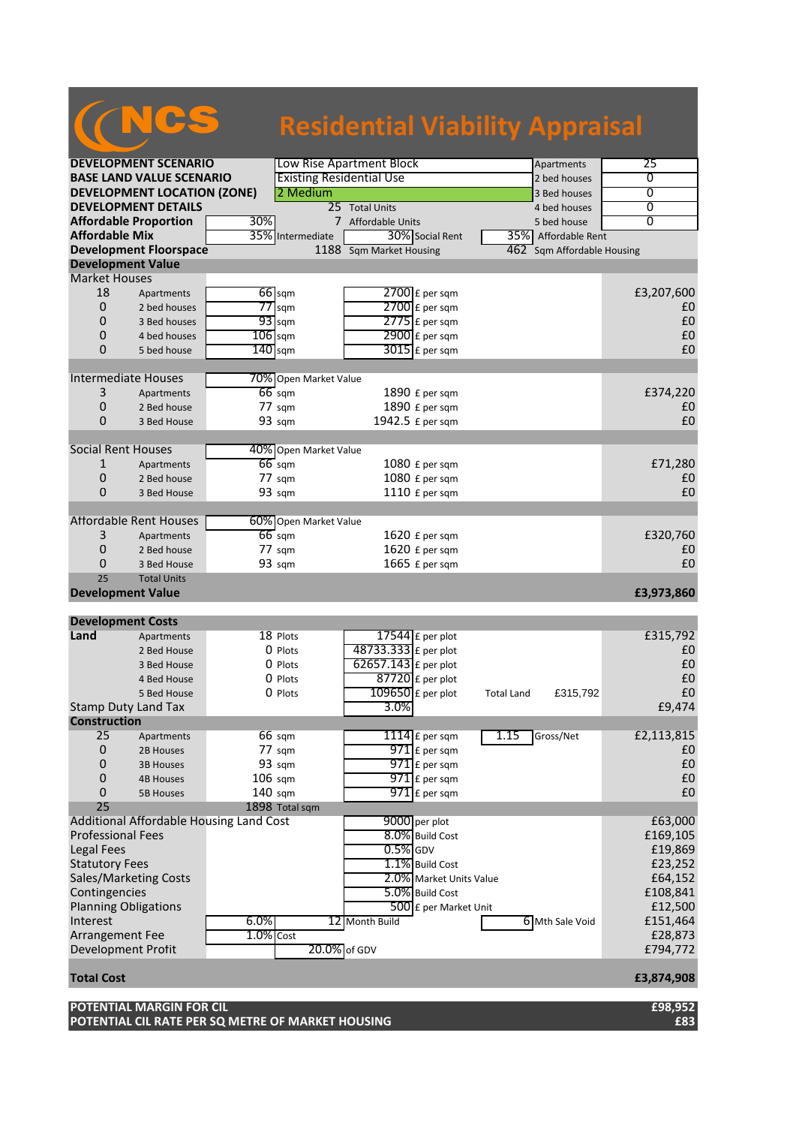## NCS

#### **Residential Viability Appraisal**

| <b>DEVELOPMENT SCENARIO</b>             |             | Low Rise Apartment Block          |                         |                         |                   | Apartments                 | 25             |
|-----------------------------------------|-------------|-----------------------------------|-------------------------|-------------------------|-------------------|----------------------------|----------------|
| <b>BASE LAND VALUE SCENARIO</b>         |             | <b>Existing Residential Use</b>   |                         |                         |                   | 2 bed houses               | 0              |
| <b>DEVELOPMENT LOCATION (ZONE)</b>      |             | 2 Medium                          |                         |                         |                   | 3 Bed houses               | $\overline{0}$ |
| <b>DEVELOPMENT DETAILS</b>              |             |                                   | 25 Total Units          |                         |                   | 4 bed houses               | $\overline{0}$ |
| <b>Affordable Proportion</b>            | 30%         |                                   | 7 Affordable Units      |                         |                   | 5 bed house                | 0              |
| <b>Affordable Mix</b>                   |             | 35% Intermediate                  |                         | 30% Social Rent         |                   | 35% Affordable Rent        |                |
| <b>Development Floorspace</b>           |             |                                   | 1188 Sqm Market Housing |                         |                   | 462 Sqm Affordable Housing |                |
| <b>Development Value</b>                |             |                                   |                         |                         |                   |                            |                |
| <b>Market Houses</b>                    |             |                                   |                         |                         |                   |                            |                |
| 18<br>Apartments                        |             | $66$ sqm                          |                         | 2700 £ per sqm          |                   |                            | £3,207,600     |
| $\mathbf 0$<br>2 bed houses             |             | $77$ sqm                          |                         | $2700$ £ per sqm        |                   |                            | £0             |
| 0<br>3 Bed houses                       |             | $93$ sqm                          |                         | $2775$ $E$ per sqm      |                   |                            | £0             |
| 0<br>4 bed houses                       |             | $106$ sqm                         |                         | $2900$ £ per sqm        |                   |                            | £0             |
| $\Omega$<br>5 bed house                 |             | $140$ sqm                         |                         | $3015$ £ per sqm        |                   |                            | £0             |
|                                         |             |                                   |                         |                         |                   |                            |                |
| Intermediate Houses                     |             | 70% Open Market Value             |                         |                         |                   |                            |                |
| 3<br>Apartments                         |             | $66$ sqm                          |                         | 1890 £ per sqm          |                   |                            | £374,220       |
| 0<br>2 Bed house                        |             | 77 sqm                            |                         | 1890 £ per sqm          |                   |                            | £0             |
| 0<br>3 Bed House                        |             | 93 sqm                            | 1942.5 £ per sqm        |                         |                   |                            | £0             |
| <b>Social Rent Houses</b>               |             |                                   |                         |                         |                   |                            |                |
| 1<br>Apartments                         |             | 40% Open Market Value<br>$66$ sqm |                         | 1080 £ per sqm          |                   |                            | £71,280        |
| 0                                       |             | $77 \text{ s}$ gm                 |                         | 1080 £ per sqm          |                   |                            | £0             |
| 2 Bed house<br>0<br>3 Bed House         |             | 93 sqm                            |                         | 1110 £ per sqm          |                   |                            | £0             |
|                                         |             |                                   |                         |                         |                   |                            |                |
| Affordable Rent Houses                  |             | 60% Open Market Value             |                         |                         |                   |                            |                |
| 3<br>Apartments                         |             | $66$ sqm                          |                         | 1620 £ per sqm          |                   |                            | £320,760       |
| 0<br>2 Bed house                        |             | $77 \text{ sqm}$                  |                         | 1620 £ per sqm          |                   |                            | £0             |
| 0<br>3 Bed House                        |             | 93 sqm                            |                         | 1665 £ per sqm          |                   |                            | £0             |
| 25<br><b>Total Units</b>                |             |                                   |                         |                         |                   |                            |                |
| <b>Development Value</b>                |             |                                   |                         |                         |                   |                            | £3,973,860     |
|                                         |             |                                   |                         |                         |                   |                            |                |
| <b>Development Costs</b>                |             |                                   |                         |                         |                   |                            |                |
| Land<br>Apartments                      |             | 18 Plots                          | 17544 $E$ per plot      |                         |                   |                            | £315,792       |
| 2 Bed House                             |             | 0 Plots                           | 48733.333 £ per plot    |                         |                   |                            | £0             |
| 3 Bed House                             |             | 0 Plots                           | 62657.143 £ per plot    |                         |                   |                            | £0             |
| 4 Bed House                             |             | 0 Plots                           | $87720$ £ per plot      |                         |                   |                            | £0             |
| 5 Bed House                             |             | 0 Plots                           | $109650$ £ per plot     |                         | <b>Total Land</b> | £315,792                   | £0             |
| <b>Stamp Duty Land Tax</b>              |             |                                   | 3.0%                    |                         |                   |                            | £9,474         |
| <b>Construction</b>                     |             |                                   |                         |                         |                   |                            |                |
| 25<br>Apartments                        |             | 66 sqm                            |                         | $1114$ $E$ per sqm      | 1.15              | Gross/Net                  | £2,113,815     |
| 0<br>2B Houses                          |             | 77 sqm                            |                         | $971$ £ per sqm         |                   |                            | £0             |
| 0<br><b>3B Houses</b>                   |             | 93 sqm                            |                         | 971 £ per sqm           |                   |                            | £0             |
| 0<br><b>4B Houses</b>                   |             | 106 sqm                           |                         | $971$ $E$ per sqm       |                   |                            | £0             |
| 0<br><b>5B Houses</b>                   |             | $140$ sqm                         |                         | $971$ E per sqm         |                   |                            | £0             |
| 25                                      |             | 1898 Total sqm                    |                         |                         |                   |                            |                |
| Additional Affordable Housing Land Cost |             |                                   | 9000 per plot           |                         |                   |                            | £63,000        |
| <b>Professional Fees</b>                |             |                                   | $0.5%$ GDV              | 8.0% Build Cost         |                   |                            | £169,105       |
| <b>Legal Fees</b>                       |             |                                   |                         |                         |                   |                            | £19,869        |
| <b>Statutory Fees</b>                   |             |                                   |                         | 1.1% Build Cost         |                   |                            | £23,252        |
| <b>Sales/Marketing Costs</b>            |             |                                   |                         | 2.0% Market Units Value |                   |                            | £64,152        |
| Contingencies                           |             |                                   |                         | 5.0% Build Cost         |                   |                            | £108,841       |
| <b>Planning Obligations</b>             |             |                                   |                         | 500 £ per Market Unit   |                   |                            | £12,500        |
| Interest                                | 6.0%        |                                   | 12 Month Build          |                         |                   | 6 Mth Sale Void            | £151,464       |
| Arrangement Fee                         | $1.0%$ Cost |                                   |                         |                         |                   |                            | £28,873        |
| Development Profit                      |             | 20.0% of GDV                      |                         |                         |                   |                            | £794,772       |
| <b>Total Cost</b>                       |             |                                   |                         |                         |                   |                            | £3,874,908     |
| POTENTIAL MARGIN FOR CIL                |             |                                   |                         |                         |                   |                            | £98,952        |

**POTENTIAL CIL RATE PER SQ METRE OF MARKET HOUSING £83**